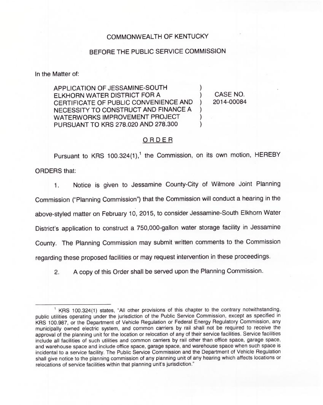## COMMONWEALTH OF KENTUCKY

## BEFORE THE PUBLIC SERVICE COMMISSION

In the Matter of:

APPLICATION OF JESSAMINE-SOUTH ELKHORN WATER DISTRICT FOR A CERTIFICATE OF PUBLIC CONVENIENCE AND NECESSITY TO CONSTRUCT AND FINANCE A WATERWORKS IMPROVEMENT PROJECT PURSUANT TO KRS 278.020 AND 278.300

) CASE NO.<br>1 2014-00084 ) 2014-00084

)

) ) )

## ORDER

Pursuant to KRS 100.324(1),<sup>1</sup> the Commission, on its own motion, HEREBY ORDERS that:

Notice is given to Jessamine County-City of Wilmore Joint Planning 1. Commission ("Planning Commission") that the Commission will conduct a hearing in the above-styled matter on February 10, 2015, to consider Jessamine-South Elkhorn Water District's application to construct a 750,000-gallon water storage facility in Jessamine County. The Planning Commission may submit written comments to the Commission regarding these proposed facilities or may request intervention in these proceedings.

2. <sup>A</sup> copy of this Order shall be served upon the Planning Commission.

<sup>&</sup>lt;sup>1</sup> KRS 100.324(1) states, "All other provisions of this chapter to the contrary notwithstanding, public utilities operating under the jurisdiction of the Public Service Commission, except as specified in KRS 100.987, or the Department of Vehicle Regulation or Federal Energy Regulatory Commission, any municipally owned electric system, and common carriers by rail shall not be required to receive the approval of the planning unit for the location or relocation of any of their service facilities. Service facilities include all facilities of such utilities and common carriers by rail other than office space, garage space, and warehouse space and include office space, garage space, and warehouse space when such space is incidental to a service facility. The Public Service Commission and the Department of Vehicle Regulation shall give notice to the planning commission of any planning unit of any hearing which affects locations or relocations of service facilities within that planning unit's jurisdiction."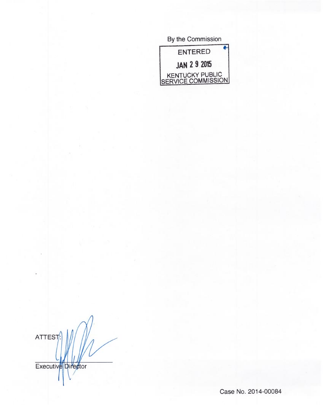By the Commission ENTERED JAN 2 9 2015 KENTUCKY PUBLIC <u>SERVICE COMMISSION</u>

ATTEST

Executive Director